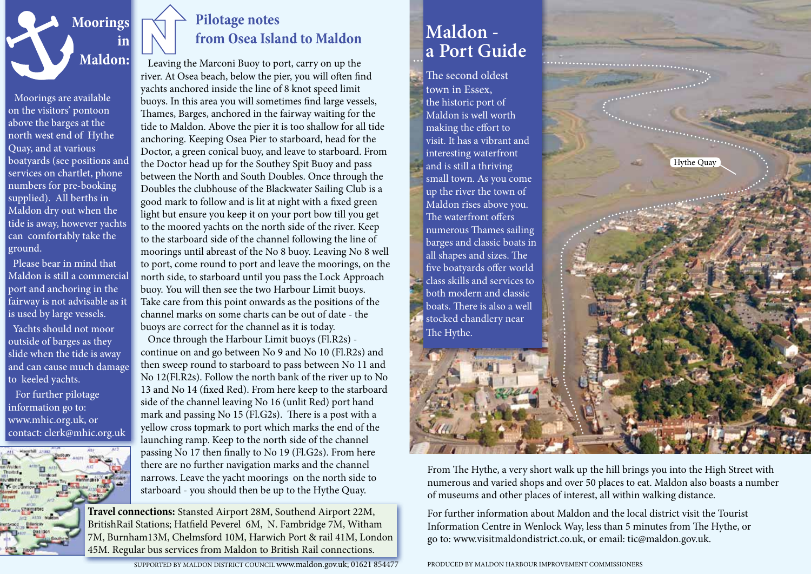

Moorings are available on the visitors' pontoon above the barges at the north west end of Hythe Quay, and at various boatyards (see positions and services on chartlet, phone numbers for pre-booking supplied). All berths in Maldon dry out when the tide is away, however yachts can comfortably take the ground.

 Please bear in mind that Maldon is still a commercial port and anchoring in the fairway is not advisable as it is used by large vessels.

 Yachts should not moor outside of barges as they slide when the tide is away and can cause much damage to keeled yachts. For further pilotage

information go to: www.mhic.org.uk, or contact: clerk@mhic.org.uk



## **Pilotage notes from Osea Island to Maldon**

 Leaving the Marconi Buoy to port, carry on up the river. At Osea beach, below the pier, you will often find yachts anchored inside the line of 8 knot speed limit buoys. In this area you will sometimes find large vessels, Thames, Barges, anchored in the fairway waiting for the tide to Maldon. Above the pier it is too shallow for all tide anchoring. Keeping Osea Pier to starboard, head for the Doctor, a green conical buoy, and leave to starboard. From the Doctor head up for the Southey Spit Buoy and pass between the North and South Doubles. Once through the Doubles the clubhouse of the Blackwater Sailing Club is a good mark to follow and is lit at night with a fixed green light but ensure you keep it on your port bow till you get to the moored yachts on the north side of the river. Keep to the starboard side of the channel following the line of moorings until abreast of the No 8 buoy. Leaving No 8 well to port, come round to port and leave the moorings, on the north side, to starboard until you pass the Lock Approach buoy. You will then see the two Harbour Limit buoys. Take care from this point onwards as the positions of the channel marks on some charts can be out of date - the buoys are correct for the channel as it is today.

 Once through the Harbour Limit buoys (Fl.R2s) continue on and go between No 9 and No 10 (Fl.R2s) and then sweep round to starboard to pass between No 11 and No 12(Fl.R2s). Follow the north bank of the river up to No 13 and No 14 (fixed Red). From here keep to the starboard side of the channel leaving No 16 (unlit Red) port hand mark and passing No 15 (Fl.G2s). There is a post with a yellow cross topmark to port which marks the end of the launching ramp. Keep to the north side of the channel passing No 17 then finally to No 19 (Fl.G2s). From here there are no further navigation marks and the channel narrows. Leave the yacht moorings on the north side to starboard - you should then be up to the Hythe Quay.

**Travel connections:** Stansted Airport 28M, Southend Airport 22M, BritishRail Stations; Hatfield Peverel 6M, N. Fambridge 7M, Witham 7M, Burnham13M, Chelmsford 10M, Harwich Port & rail 41M, London 45M. Regular bus services from Maldon to British Rail connections.

SUPPORTED BY MALDON DISTRICT COUNCIL www.maldon.gov.uk; 01621 854477

## **Maldon a Port Guide**

The second oldest town in Essex, the historic port of Maldon is well worth making the effort to visit. It has a vibrant and interesting waterfront and is still a thriving small town. As you come up the river the town of Maldon rises above you. The waterfront offers numerous Thames sailing barges and classic boats in all shapes and sizes. The five boatyards offer world class skills and services to both modern and classic boats. There is also a well stocked chandlery near The Hythe.



From The Hythe, a very short walk up the hill brings you into the High Street with numerous and varied shops and over 50 places to eat. Maldon also boasts a number of museums and other places of interest, all within walking distance.

For further information about Maldon and the local district visit the Tourist Information Centre in Wenlock Way, less than 5 minutes from The Hythe, or go to: www.visitmaldondistrict.co.uk, or email: tic@maldon.gov.uk.

PRODUCED BY MALDON HARBOUR IMPROVEMENT COMMISSIONERS